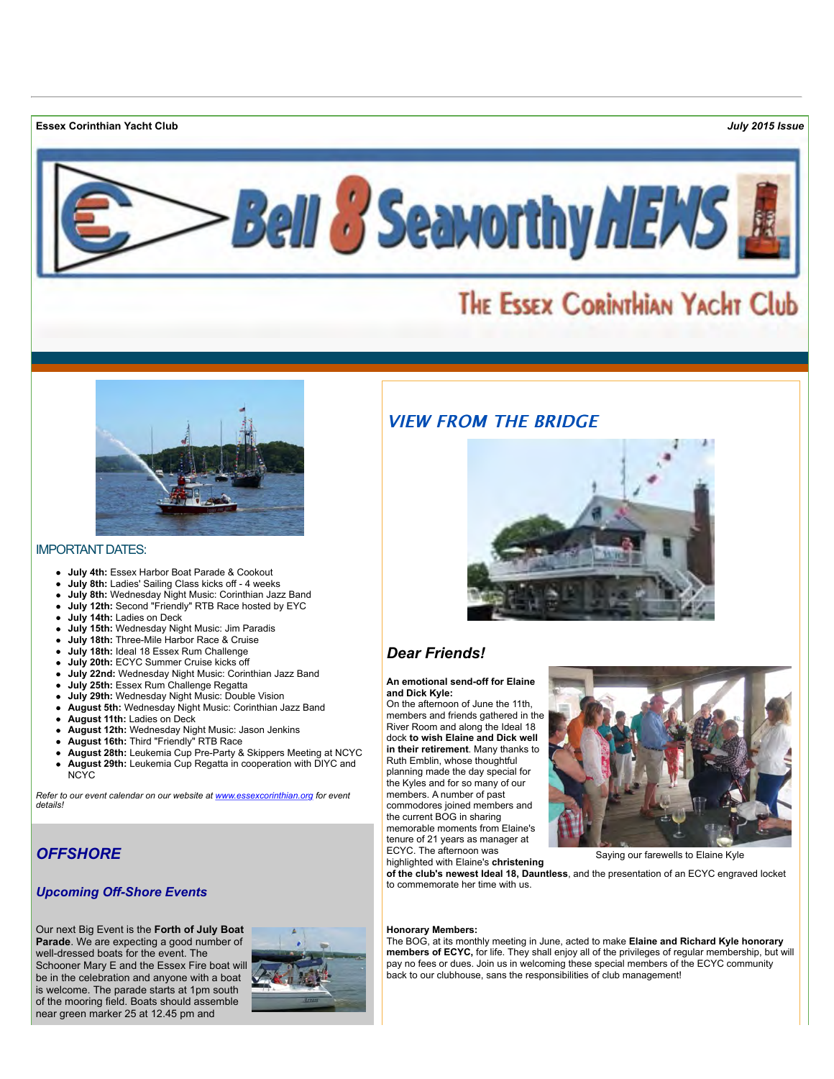**Essex Corinthian Yacht Club** *July 2015 Issue*



# THE ESSEX CORINTHIAN YACHT Club



#### IMPORTANT DATES:

- **July 4th:** Essex Harbor Boat Parade & Cookout
- **July 8th:** Ladies' Sailing Class kicks off 4 weeks
- **July 8th:** Wednesday Night Music: Corinthian Jazz Band
- **July 12th:** Second "Friendly" RTB Race hosted by EYC
- **July 14th:** Ladies on Deck
- **July 15th:** Wednesday Night Music: Jim Paradis
- **July 18th:** Three-Mile Harbor Race & Cruise
- **July 18th:** Ideal 18 Essex Rum Challenge
- **July 20th:** ECYC Summer Cruise kicks off
- **July 22nd:** Wednesday Night Music: Corinthian Jazz Band
- **July 25th:** Essex Rum Challenge Regatta
- **July 29th:** Wednesday Night Music: Double Vision
- **August 5th:** Wednesday Night Music: Corinthian Jazz Band
- **August 11th:** Ladies on Deck
- **August 12th:** Wednesday Night Music: Jason Jenkins
- **August 16th:** Third "Friendly" RTB Race
- **August 28th:** Leukemia Cup Pre-Party & Skippers Meeting at NCYC
- **August 29th:** Leukemia Cup Regatta in cooperation with DIYC and NCYC

*Refer to our event calendar on our website at [www.essexcorinthian.org](http://www.essexcorinthian.org/events.html) for event details!*

### *OFFSHORE*

### *Upcoming Off-Shore Events*

Our next Big Event is the **Forth of July Boat Parade**. We are expecting a good number of well-dressed boats for the event. The Schooner Mary E and the Essex Fire boat will be in the celebration and anyone with a boat is welcome. The parade starts at 1pm south of the mooring field. Boats should assemble near green marker 25 at 12.45 pm and





### *Dear Friends!*

#### **An emotional send-off for Elaine and Dick Kyle:**

On the afternoon of June the 11th, members and friends gathered in the River Room and along the Ideal 18 dock **to wish Elaine and Dick well in their retirement**. Many thanks to Ruth Emblin, whose thoughtful planning made the day special for the Kyles and for so many of our members. A number of past commodores joined members and the current BOG in sharing memorable moments from Elaine's tenure of 21 years as manager at ECYC. The afternoon was



Saying our farewells to Elaine Kyle

highlighted with Elaine's **christening of the club's newest Ideal 18, Dauntless**, and the presentation of an ECYC engraved locket to commemorate her time with us.

#### **Honorary Members:**

The BOG, at its monthly meeting in June, acted to make **Elaine and Richard Kyle honorary members of ECYC,** for life. They shall enjoy all of the privileges of regular membership, but will pay no fees or dues. Join us in welcoming these special members of the ECYC community back to our clubhouse, sans the responsibilities of club management!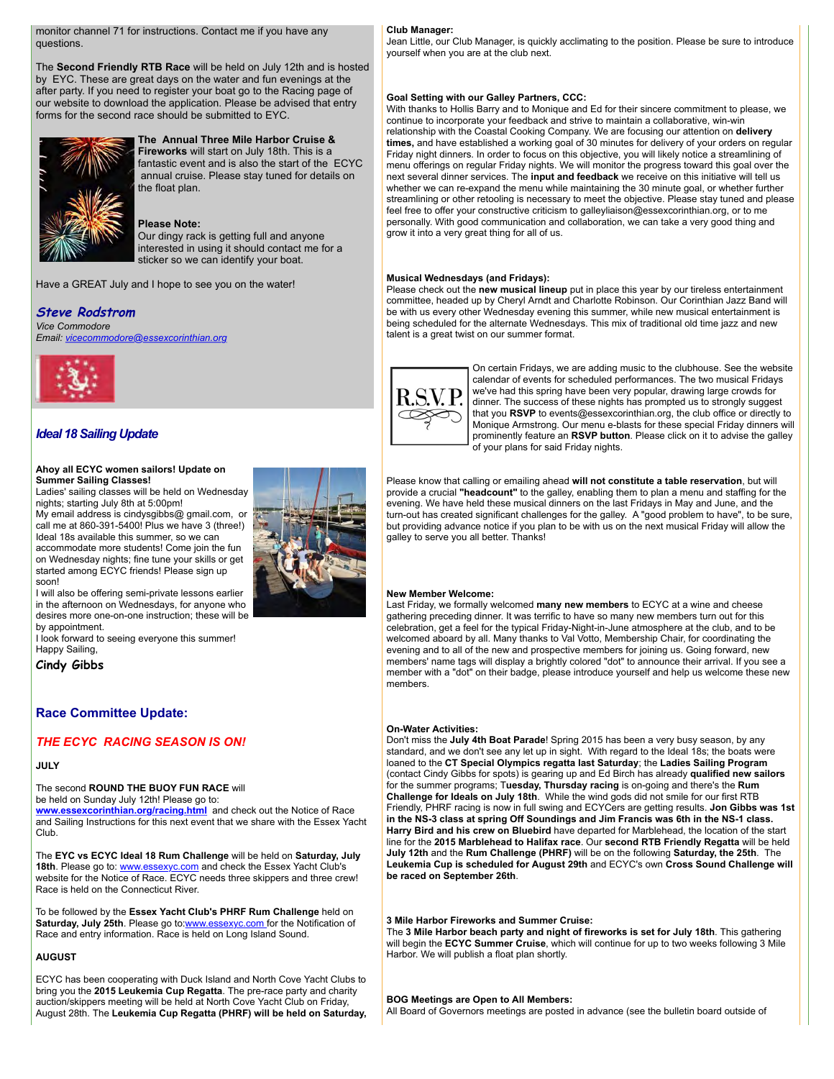monitor channel 71 for instructions. Contact me if you have any questions.

The **Second Friendly RTB Race** will be held on July 12th and is hosted by EYC. These are great days on the water and fun evenings at the after party. If you need to register your boat go to the Racing page of our website to download the application. Please be advised that entry forms for the second race should be submitted to EYC.



#### **The Annual Three Mile Harbor Cruise & Fireworks** will start on July 18th. This is a fantastic event and is also the start of the ECYC annual cruise. Please stay tuned for details on the float plan.

#### **Please Note:**

Our dingy rack is getting full and anyone interested in using it should contact me for a sticker so we can identify your boat.

Have a GREAT July and I hope to see you on the water!

#### **Steve Rodstrom**

*Vice Commodore Email: [vicecommodore@essexcorinthian.org](mailto:vicecommodore@essexcorinthian.org)*



### *Ideal 18 Sailing Update*

#### **Ahoy all ECYC women sailors! Update on Summer Sailing Classes!**

Ladies' sailing classes will be held on Wednesday nights; starting July 8th at 5:00pm!

My email address is cindysgibbs@ gmail.com, or call me at 860-391-5400! Plus we have 3 (three!) Ideal 18s available this summer, so we can accommodate more students! Come join the fun on Wednesday nights; fine tune your skills or get started among ECYC friends! Please sign up soon!

I will also be offering semi-private lessons earlier in the afternoon on Wednesdays, for anyone who desires more one-on-one instruction; these will be by appointment.

I look forward to seeing everyone this summer! Happy Sailing,

**Cindy Gibbs**

#### **Race Committee Update:**

### *THE ECYC RACING SEASON IS ON!*

#### **JULY**

The second **ROUND THE BUOY FUN RACE** will

be held on Sunday July 12th! Please go to: **[www.essexcorinthian.org/racing.html](http://www.essexcorinthian.org/racing.html)** and check out the Notice of Race and Sailing Instructions for this next event that we share with the Essex Yacht Club.

The **EYC vs ECYC Ideal 18 Rum Challenge** will be held on **Saturday, July** 18th. Please go to: [www.essexyc.com](http://www.essexyc.com) and check the Essex Yacht Club's website for the Notice of Race. ECYC needs three skippers and three crew! Race is held on the Connecticut River.

To be followed by the **Essex Yacht Club's PHRF Rum Challenge** held on Saturday, July 25th. Please go t[o:www.essexyc.com f](http://www.essexyc.com)or the Notification of Race and entry information. Race is held on Long Island Sound.

#### **AUGUST**

ECYC has been cooperating with Duck Island and North Cove Yacht Clubs to bring you the **2015 Leukemia Cup Regatta**. The pre-race party and charity auction/skippers meeting will be held at North Cove Yacht Club on Friday, August 28th. The **Leukemia Cup Regatta (PHRF) will be held on Saturday,**

#### **Club Manager:**

Jean Little, our Club Manager, is quickly acclimating to the position. Please be sure to introduce yourself when you are at the club next.

#### **Goal Setting with our Galley Partners, CCC:**

With thanks to Hollis Barry and to Monique and Ed for their sincere commitment to please, we continue to incorporate your feedback and strive to maintain a collaborative, win-win relationship with the Coastal Cooking Company. We are focusing our attention on **delivery times,** and have established a working goal of 30 minutes for delivery of your orders on regular Friday night dinners. In order to focus on this objective, you will likely notice a streamlining of menu offerings on regular Friday nights. We will monitor the progress toward this goal over the next several dinner services. The **input and feedback** we receive on this initiative will tell us whether we can re-expand the menu while maintaining the 30 minute goal, or whether further streamlining or other retooling is necessary to meet the objective. Please stay tuned and please feel free to offer your constructive criticism to galleyliaison@essexcorinthian.org, or to me personally. With good communication and collaboration, we can take a very good thing and grow it into a very great thing for all of us.

#### **Musical Wednesdays (and Fridays):**

Please check out the **new musical lineup** put in place this year by our tireless entertainment committee, headed up by Cheryl Arndt and Charlotte Robinson. Our Corinthian Jazz Band will be with us every other Wednesday evening this summer, while new musical entertainment is being scheduled for the alternate Wednesdays. This mix of traditional old time jazz and new talent is a great twist on our summer format.



On certain Fridays, we are adding music to the clubhouse. See the website calendar of events for scheduled performances. The two musical Fridays we've had this spring have been very popular, drawing large crowds for dinner. The success of these nights has prompted us to strongly suggest that you **RSVP** to events@essexcorinthian.org, the club office or directly to Monique Armstrong. Our menu e-blasts for these special Friday dinners will prominently feature an **RSVP button**. Please click on it to advise the galley of your plans for said Friday nights.

Please know that calling or emailing ahead **will not constitute a table reservation**, but will provide a crucial **"headcount"** to the galley, enabling them to plan a menu and staffing for the evening. We have held these musical dinners on the last Fridays in May and June, and the turn-out has created significant challenges for the galley. A "good problem to have", to be sure, but providing advance notice if you plan to be with us on the next musical Friday will allow the galley to serve you all better. Thanks!

#### **New Member Welcome:**

Last Friday, we formally welcomed **many new members** to ECYC at a wine and cheese gathering preceding dinner. It was terrific to have so many new members turn out for this celebration, get a feel for the typical Friday-Night-in-June atmosphere at the club, and to be welcomed aboard by all. Many thanks to Val Votto, Membership Chair, for coordinating the evening and to all of the new and prospective members for joining us. Going forward, new members' name tags will display a brightly colored "dot" to announce their arrival. If you see a member with a "dot" on their badge, please introduce yourself and help us welcome these new members.

#### **On-Water Activities:**

Don't miss the **July 4th Boat Parade**! Spring 2015 has been a very busy season, by any standard, and we don't see any let up in sight. With regard to the Ideal 18s; the boats were loaned to the **CT Special Olympics regatta last Saturday**; the **Ladies Sailing Program** (contact Cindy Gibbs for spots) is gearing up and Ed Birch has already **qualified new sailors** for the summer programs; T**uesday, Thursday racing** is on-going and there's the **Rum Challenge for Ideals on July 18th**. While the wind gods did not smile for our first RTB Friendly, PHRF racing is now in full swing and ECYCers are getting results. **Jon Gibbs was 1st in the NS-3 class at spring Off Soundings and Jim Francis was 6th in the NS-1 class. Harry Bird and his crew on Bluebird** have departed for Marblehead, the location of the start line for the **2015 Marblehead to Halifax race**. Our **second RTB Friendly Regatta** will be held **July 12th** and the **Rum Challenge (PHRF)** will be on the following **Saturday, the 25th**. The **Leukemia Cup is scheduled for August 29th** and ECYC's own **Cross Sound Challenge will be raced on September 26th**.

#### **3 Mile Harbor Fireworks and Summer Cruise:**

The **3 Mile Harbor beach party and night of fireworks is set for July 18th**. This gathering will begin the **ECYC Summer Cruise**, which will continue for up to two weeks following 3 Mile Harbor. We will publish a float plan shortly.

#### **BOG Meetings are Open to All Members:**

All Board of Governors meetings are posted in advance (see the bulletin board outside of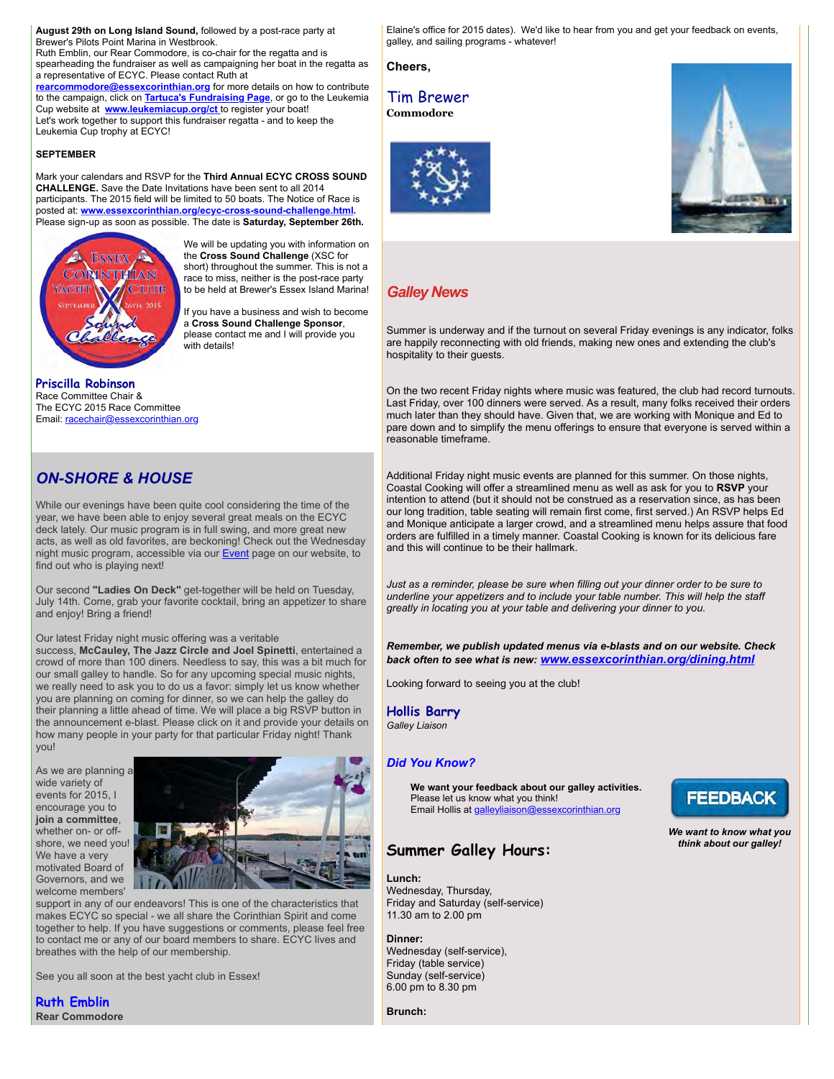**August 29th on Long Island Sound,** followed by a post-race party at Brewer's Pilots Point Marina in Westbrook.

Ruth Emblin, our Rear Commodore, is co-chair for the regatta and is spearheading the fundraiser as well as campaigning her boat in the regatta as a representative of ECYC. Please contact Ruth at

**[rearcommodore@essexcorinthian.org](mailto:rearcommodore@essexcorinthian.org)** for more details on how to contribute to the campaign, click on **[Tartuca's Fundraising Page](http://www.leukemiacup.org/pages/ctwhv/ct15/Tartuca)**, or go to the Leukemia Cup website at **[www.leukemiacup.org/ct](http://www.leukemiacup.org/ct)** to register your boat! Let's work together to support this fundraiser regatta - and to keep the Leukemia Cup trophy at ECYC!

#### **SEPTEMBER**

Mark your calendars and RSVP for the **Third Annual ECYC CROSS SOUND CHALLENGE.** Save the Date Invitations have been sent to all 2014 participants. The 2015 field will be limited to 50 boats. The Notice of Race is posted at: **[www.essexcorinthian.org/ecyc-cross-sound-challenge.html.](http://www.essexcorinthian.org/ecyc-cross-sound-challenge.html)** Please sign-up as soon as possible. The date is **Saturday, September 26th.**



We will be updating you with information on the **Cross Sound Challenge** (XSC for short) throughout the summer. This is not a race to miss, neither is the post-race party to be held at Brewer's Essex Island Marina!

If you have a business and wish to become a **Cross Sound Challenge Sponsor**, please contact me and I will provide you .<br>with details!

#### **Priscilla Robinson** Race Committee Chair & The ECYC 2015 Race Committee Email: [racechair@essexcorinthian.org](mailto:racechair@essexcorinthian.org)

### *ON-SHORE & HOUSE*

While our evenings have been quite cool considering the time of the year, we have been able to enjoy several great meals on the ECYC deck lately. Our music program is in full swing, and more great new acts, as well as old favorites, are beckoning! Check out the Wednesday night music program, accessible via our **Event** page on our website, to find out who is playing next!

Our second **"Ladies On Deck"** get-together will be held on Tuesday, July 14th. Come, grab your favorite cocktail, bring an appetizer to share and enjoy! Bring a friend!

Our latest Friday night music offering was a veritable

success, **McCauley, The Jazz Circle and Joel Spinetti**, entertained a crowd of more than 100 diners. Needless to say, this was a bit much for our small galley to handle. So for any upcoming special music nights, we really need to ask you to do us a favor: simply let us know whether you are planning on coming for dinner, so we can help the galley do their planning a little ahead of time. We will place a big RSVP button in the announcement e-blast. Please click on it and provide your details on how many people in your party for that particular Friday night! Thank you!

As we are planning a wide variety of events for 2015, I encourage you to **join a committee**, whether on- or offshore, we need you! We have a very motivated Board of Governors, and we welcome members'



support in any of our endeavors! This is one of the characteristics that makes ECYC so special - we all share the Corinthian Spirit and come together to help. If you have suggestions or comments, please feel free to contact me or any of our board members to share. ECYC lives and breathes with the help of our membership.

See you all soon at the best yacht club in Essex!

**Ruth Emblin Rear Commodore** Elaine's office for 2015 dates). We'd like to hear from you and get your feedback on events, galley, and sailing programs - whatever!

**Cheers,**

### Tim Brewer **Commodore**





### *Galley News*

Summer is underway and if the turnout on several Friday evenings is any indicator, folks are happily reconnecting with old friends, making new ones and extending the club's hospitality to their guests.

On the two recent Friday nights where music was featured, the club had record turnouts. Last Friday, over 100 dinners were served. As a result, many folks received their orders much later than they should have. Given that, we are working with Monique and Ed to pare down and to simplify the menu offerings to ensure that everyone is served within a reasonable timeframe.

Additional Friday night music events are planned for this summer. On those nights, Coastal Cooking will offer a streamlined menu as well as ask for you to **RSVP** your intention to attend (but it should not be construed as a reservation since, as has been our long tradition, table seating will remain first come, first served.) An RSVP helps Ed and Monique anticipate a larger crowd, and a streamlined menu helps assure that food orders are fulfilled in a timely manner. Coastal Cooking is known for its delicious fare and this will continue to be their hallmark.

*Just as a reminder, please be sure when filling out your dinner order to be sure to underline your appetizers and to include your table number. This will help the staff greatly in locating you at your table and delivering your dinner to you.*

*Remember, we publish updated menus via e-blasts and on our website. Check back often to see what is new: [www.essexcorinthian.org/dining.html](http://www.essexcorinthian.org/dining.html)* 

Looking forward to seeing you at the club!

**Hollis Barry** *Galley Liaison*

### *Did You Know?*

**We want your feedback about our galley activities.** Please let us know what you think! Email Hollis at [galleyliaison@essexcorinthian.org](mailto:galleyliaison@essexcorinthian.org)

### **Summer Galley Hours:**

#### **Lunch:**

Wednesday, Thursday, Friday and Saturday (self-service) 11.30 am to 2.00 pm

**Dinner:**  Wednesday (self-service), Friday (table service) Sunday (self-service) 6.00 pm to 8.30 pm

**FEEDBACK** 

*We want to know what you think about our galley!*

**Brunch:**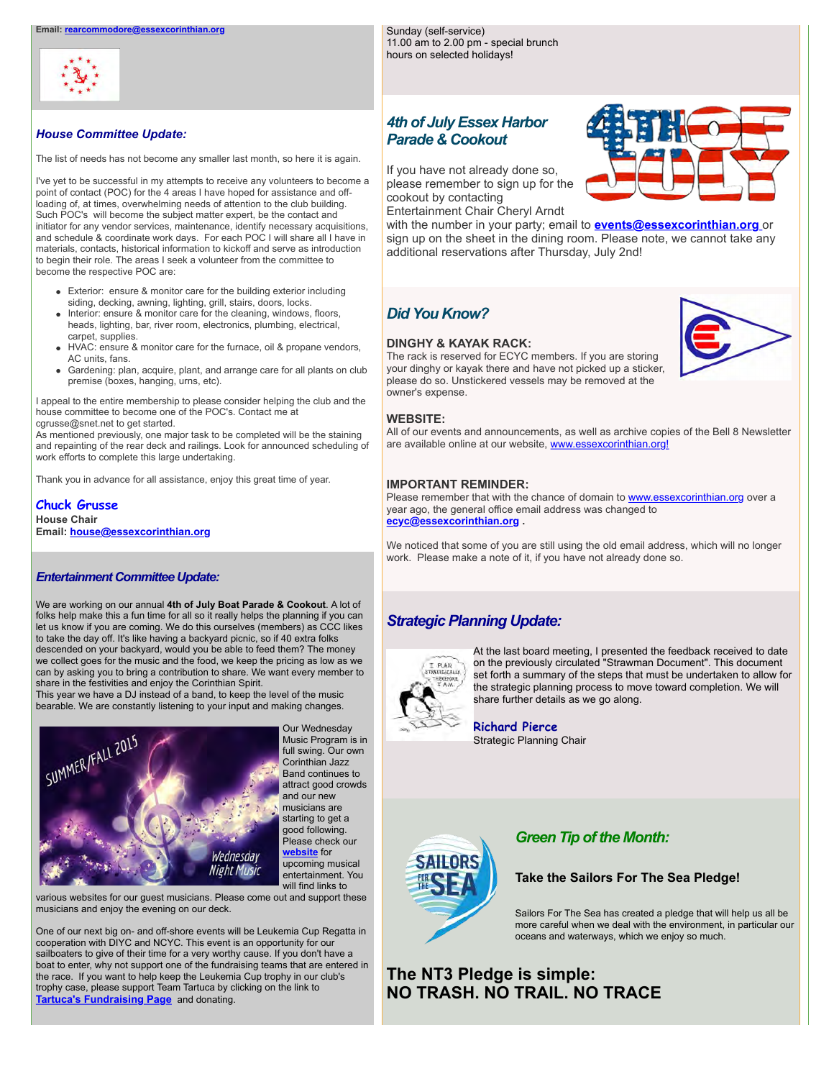

#### *House Committee Update:*

The list of needs has not become any smaller last month, so here it is again.

I've yet to be successful in my attempts to receive any volunteers to become a point of contact (POC) for the 4 areas I have hoped for assistance and offloading of, at times, overwhelming needs of attention to the club building. Such POC's will become the subject matter expert, be the contact and initiator for any vendor services, maintenance, identify necessary acquisitions, and schedule & coordinate work days. For each POC I will share all I have in materials, contacts, historical information to kickoff and serve as introduction to begin their role. The areas I seek a volunteer from the committee to become the respective POC are:

- Exterior: ensure & monitor care for the building exterior including siding, decking, awning, lighting, grill, stairs, doors, locks.
- Interior: ensure & monitor care for the cleaning, windows, floors, heads, lighting, bar, river room, electronics, plumbing, electrical, carpet, supplies.
- HVAC: ensure & monitor care for the furnace, oil & propane vendors, AC units, fans.
- Gardening: plan, acquire, plant, and arrange care for all plants on club premise (boxes, hanging, urns, etc).

I appeal to the entire membership to please consider helping the club and the house committee to become one of the POC's. Contact me at cgrusse@snet.net to get started.

As mentioned previously, one major task to be completed will be the staining and repainting of the rear deck and railings. Look for announced scheduling of work efforts to complete this large undertaking.

Thank you in advance for all assistance, enjoy this great time of year.

**Chuck Grusse House Chair Email: [house@essexcorinthian.org](mailto:house@essexcorinthian.org)**

#### *Entertainment Committee Update:*

We are working on our annual **4th of July Boat Parade & Cookout**. A lot of folks help make this a fun time for all so it really helps the planning if you can let us know if you are coming. We do this ourselves (members) as CCC likes to take the day off. It's like having a backyard picnic, so if 40 extra folks descended on your backyard, would you be able to feed them? The money we collect goes for the music and the food, we keep the pricing as low as we can by asking you to bring a contribution to share. We want every member to share in the festivities and enjoy the Corinthian Spirit.

This year we have a DJ instead of a band, to keep the level of the music bearable. We are constantly listening to your input and making changes.



Our Wednesday Music Program is in full swing. Our own Corinthian Jazz Band continues to attract good crowds and our new musicians are starting to get a good following. Please check our **[website](http://www.essexcorinthian.org/ecyc-music-program.html)** for upcoming musical entertainment. You

various websites for our guest musicians. Please come out and support these musicians and enjoy the evening on our deck.

One of our next big on- and off-shore events will be Leukemia Cup Regatta in cooperation with DIYC and NCYC. This event is an opportunity for our sailboaters to give of their time for a very worthy cause. If you don't have a boat to enter, why not support one of the fundraising teams that are entered in the race. If you want to help keep the Leukemia Cup trophy in our club's trophy case, please support Team Tartuca by clicking on the link to **[Tartuca's Fundraising Page](http://www.leukemiacup.org/pages/ctwhv/ct15/Tartuca)** and donating.

### *4th of July Essex Harbor Parade & Cookout*

11.00 am to 2.00 pm - special brunch hours on selected holidays!

Sunday (self-service)

If you have not already done so, please remember to sign up for the cookout by contacting Entertainment Chair Cheryl Arndt

with the number in your party; email to **[events@essexcorinthian.org](mailto:events@essexcorinthian.org)** or sign up on the sheet in the dining room. Please note, we cannot take any additional reservations after Thursday, July 2nd!

### *Did You Know?*

#### **DINGHY & KAYAK RACK:**



The rack is reserved for ECYC members. If you are storing your dinghy or kayak there and have not picked up a sticker, please do so. Unstickered vessels may be removed at the owner's expense.

#### **WEBSITE:**

All of our events and announcements, as well as archive copies of the Bell 8 Newsletter are available online at our website, [www.essexcorinthian.org!](http://www.essexcorinthian.org)

#### **IMPORTANT REMINDER:**

Please remember that with the chance of domain to [www.essexcorinthian.org](http://www.essexcorinthian.org) over a year ago, the general office email address was changed to **[ecyc@essexcorinthian.org](mailto:ecyc@essexcorinthian.org) .** 

We noticed that some of you are still using the old email address, which will no longer work. Please make a note of it, if you have not already done so.

### *Strategic Planning Update:*



At the last board meeting, I presented the feedback received to date on the previously circulated "Strawman Document". This document set forth a summary of the steps that must be undertaken to allow for the strategic planning process to move toward completion. We will share further details as we go along.

**Richard Pierce** Strategic Planning Chair



### *Green Tip of the Month:*

#### **Take the Sailors For The Sea Pledge!**

Sailors For The Sea has created a pledge that will help us all be more careful when we deal with the environment, in particular our oceans and waterways, which we enjoy so much.

## **The NT3 Pledge is simple: NO TRASH. NO TRAIL. NO TRACE**